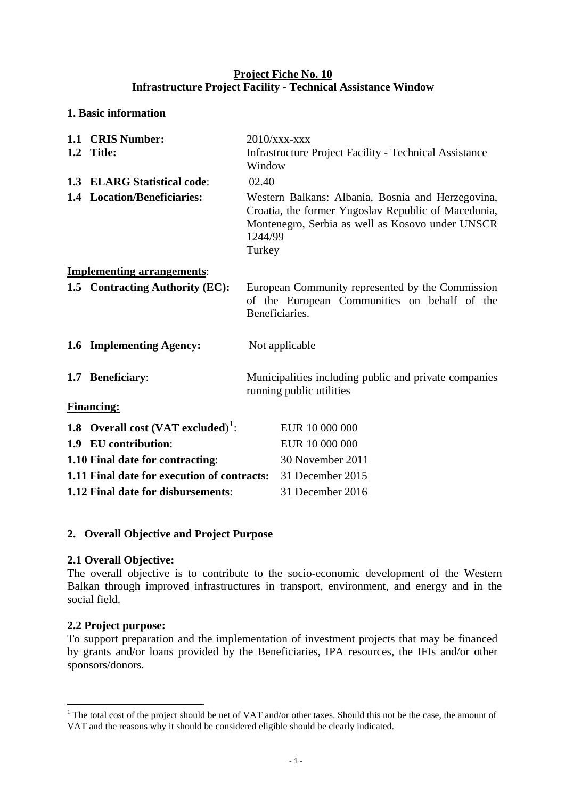## **Project Fiche No. 10 Infrastructure Project Facility - Technical Assistance Window**

## **1. Basic information**

| 1.1 CRIS Number:<br>1.2 Title:                   | Window                                                                                                                                                                            | $2010$ /xxx-xxx<br><b>Infrastructure Project Facility - Technical Assistance</b> |  |  |  |
|--------------------------------------------------|-----------------------------------------------------------------------------------------------------------------------------------------------------------------------------------|----------------------------------------------------------------------------------|--|--|--|
| 1.3 ELARG Statistical code:                      | 02.40                                                                                                                                                                             |                                                                                  |  |  |  |
| 1.4 Location/Beneficiaries:                      | Western Balkans: Albania, Bosnia and Herzegovina,<br>Croatia, the former Yugoslav Republic of Macedonia,<br>Montenegro, Serbia as well as Kosovo under UNSCR<br>1244/99<br>Turkey |                                                                                  |  |  |  |
| <b>Implementing arrangements:</b>                |                                                                                                                                                                                   |                                                                                  |  |  |  |
| 1.5 Contracting Authority (EC):                  | European Community represented by the Commission<br>of the European Communities on behalf of the<br>Beneficiaries.                                                                |                                                                                  |  |  |  |
| 1.6 Implementing Agency:                         |                                                                                                                                                                                   | Not applicable                                                                   |  |  |  |
| 1.7 Beneficiary:                                 | Municipalities including public and private companies<br>running public utilities                                                                                                 |                                                                                  |  |  |  |
| <b>Financing:</b>                                |                                                                                                                                                                                   |                                                                                  |  |  |  |
| 1.8 Overall cost $(VAT$ excluded) <sup>1</sup> : |                                                                                                                                                                                   | EUR 10 000 000                                                                   |  |  |  |
| 1.9 EU contribution:                             |                                                                                                                                                                                   | EUR 10 000 000                                                                   |  |  |  |
| 1.10 Final date for contracting:                 |                                                                                                                                                                                   | 30 November 2011                                                                 |  |  |  |
| 1.11 Final date for execution of contracts:      |                                                                                                                                                                                   | 31 December 2015                                                                 |  |  |  |
| 1.12 Final date for disbursements:               |                                                                                                                                                                                   | 31 December 2016                                                                 |  |  |  |

## **2. Overall Objective and Project Purpose**

#### **2.1 Overall Objective:**

The overall objective is to contribute to the socio-economic development of the Western Balkan through improved infrastructures in transport, environment, and energy and in the social field.

## **2.2 Project purpose:**

<u>.</u>

To support preparation and the implementation of investment projects that may be financed by grants and/or loans provided by the Beneficiaries, IPA resources, the IFIs and/or other sponsors/donors.

<span id="page-0-0"></span><sup>&</sup>lt;sup>1</sup> The total cost of the project should be net of VAT and/or other taxes. Should this not be the case, the amount of VAT and the reasons why it should be considered eligible should be clearly indicated.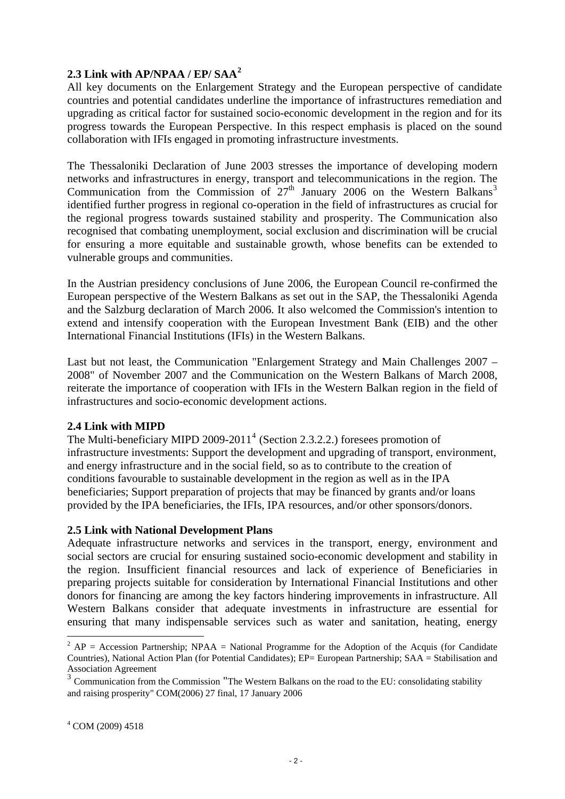## **2.3 Link with AP/NPAA / EP/ SAA[2](#page-1-0)**

All key documents on the Enlargement Strategy and the European perspective of candidate countries and potential candidates underline the importance of infrastructures remediation and upgrading as critical factor for sustained socio-economic development in the region and for its progress towards the European Perspective. In this respect emphasis is placed on the sound collaboration with IFIs engaged in promoting infrastructure investments.

The Thessaloniki Declaration of June 2003 stresses the importance of developing modern networks and infrastructures in energy, transport and telecommunications in the region. The Communication from the Commission of  $27<sup>th</sup>$  January 2006 on the Western Balkans<sup>[3](#page-1-1)</sup> identified further progress in regional co-operation in the field of infrastructures as crucial for the regional progress towards sustained stability and prosperity. The Communication also recognised that combating unemployment, social exclusion and discrimination will be crucial for ensuring a more equitable and sustainable growth, whose benefits can be extended to vulnerable groups and communities.

In the Austrian presidency conclusions of June 2006, the European Council re-confirmed the European perspective of the Western Balkans as set out in the SAP, the Thessaloniki Agenda and the Salzburg declaration of March 2006. It also welcomed the Commission's intention to extend and intensify cooperation with the European Investment Bank (EIB) and the other International Financial Institutions (IFIs) in the Western Balkans.

Last but not least, the Communication "Enlargement Strategy and Main Challenges 2007 – 2008" of November 2007 and the Communication on the Western Balkans of March 2008, reiterate the importance of cooperation with IFIs in the Western Balkan region in the field of infrastructures and socio-economic development actions.

#### **2.4 Link with MIPD**

The Multi-beneficiary MIPD 2009-2011<sup>[4](#page-1-2)</sup> (Section 2.3.2.2.) foresees promotion of infrastructure investments: Support the development and upgrading of transport, environment, and energy infrastructure and in the social field, so as to contribute to the creation of conditions favourable to sustainable development in the region as well as in the IPA beneficiaries; Support preparation of projects that may be financed by grants and/or loans provided by the IPA beneficiaries, the IFIs, IPA resources, and/or other sponsors/donors.

#### **2.5 Link with National Development Plans**

Adequate infrastructure networks and services in the transport, energy, environment and social sectors are crucial for ensuring sustained socio-economic development and stability in the region. Insufficient financial resources and lack of experience of Beneficiaries in preparing projects suitable for consideration by International Financial Institutions and other donors for financing are among the key factors hindering improvements in infrastructure. All Western Balkans consider that adequate investments in infrastructure are essential for ensuring that many indispensable services such as water and sanitation, heating, energy

1

 $^2$  AP = Accession Partnership; NPAA = National Programme for the Adoption of the Acquis (for Candidate Countries), National Action Plan (for Potential Candidates); EP= European Partnership; SAA = Stabilisation and Association Agreement

<span id="page-1-2"></span><span id="page-1-1"></span><span id="page-1-0"></span> $3$  Communication from the Commission "The Western Balkans on the road to the EU: consolidating stability and raising prosperity" COM(2006) 27 final, 17 January 2006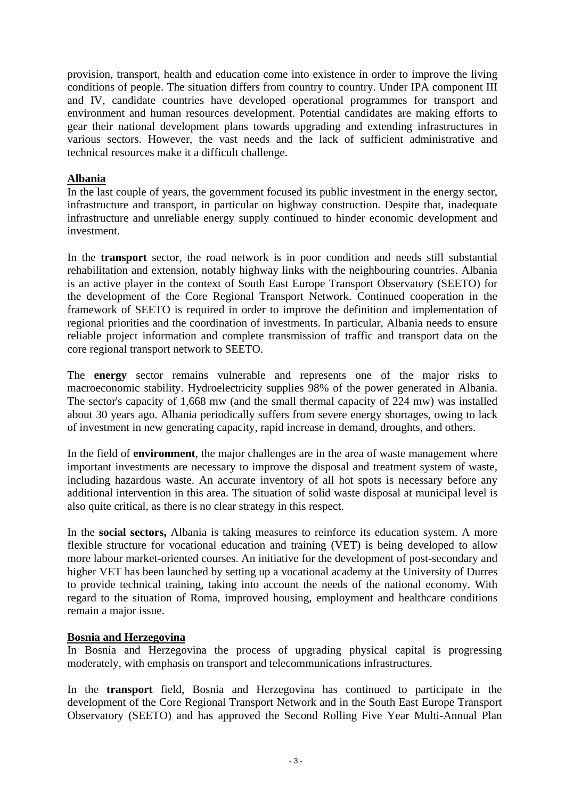provision, transport, health and education come into existence in order to improve the living conditions of people. The situation differs from country to country. Under IPA component III and IV, candidate countries have developed operational programmes for transport and environment and human resources development. Potential candidates are making efforts to gear their national development plans towards upgrading and extending infrastructures in various sectors. However, the vast needs and the lack of sufficient administrative and technical resources make it a difficult challenge.

#### **Albania**

In the last couple of years, the government focused its public investment in the energy sector, infrastructure and transport, in particular on highway construction. Despite that, inadequate infrastructure and unreliable energy supply continued to hinder economic development and investment.

In the **transport** sector, the road network is in poor condition and needs still substantial rehabilitation and extension, notably highway links with the neighbouring countries. Albania is an active player in the context of South East Europe Transport Observatory (SEETO) for the development of the Core Regional Transport Network. Continued cooperation in the framework of SEETO is required in order to improve the definition and implementation of regional priorities and the coordination of investments. In particular, Albania needs to ensure reliable project information and complete transmission of traffic and transport data on the core regional transport network to SEETO.

The **energy** sector remains vulnerable and represents one of the major risks to macroeconomic stability. Hydroelectricity supplies 98% of the power generated in Albania. The sector's capacity of 1,668 mw (and the small thermal capacity of 224 mw) was installed about 30 years ago. Albania periodically suffers from severe energy shortages, owing to lack of investment in new generating capacity, rapid increase in demand, droughts, and others.

In the field of **environment**, the major challenges are in the area of waste management where important investments are necessary to improve the disposal and treatment system of waste, including hazardous waste. An accurate inventory of all hot spots is necessary before any additional intervention in this area. The situation of solid waste disposal at municipal level is also quite critical, as there is no clear strategy in this respect.

In the **social sectors,** Albania is taking measures to reinforce its education system. A more flexible structure for vocational education and training (VET) is being developed to allow more labour market-oriented courses. An initiative for the development of post-secondary and higher VET has been launched by setting up a vocational academy at the University of Durres to provide technical training, taking into account the needs of the national economy. With regard to the situation of Roma, improved housing, employment and healthcare conditions remain a major issue.

#### **Bosnia and Herzegovina**

In Bosnia and Herzegovina the process of upgrading physical capital is progressing moderately, with emphasis on transport and telecommunications infrastructures.

In the **transport** field, Bosnia and Herzegovina has continued to participate in the development of the Core Regional Transport Network and in the South East Europe Transport Observatory (SEETO) and has approved the Second Rolling Five Year Multi-Annual Plan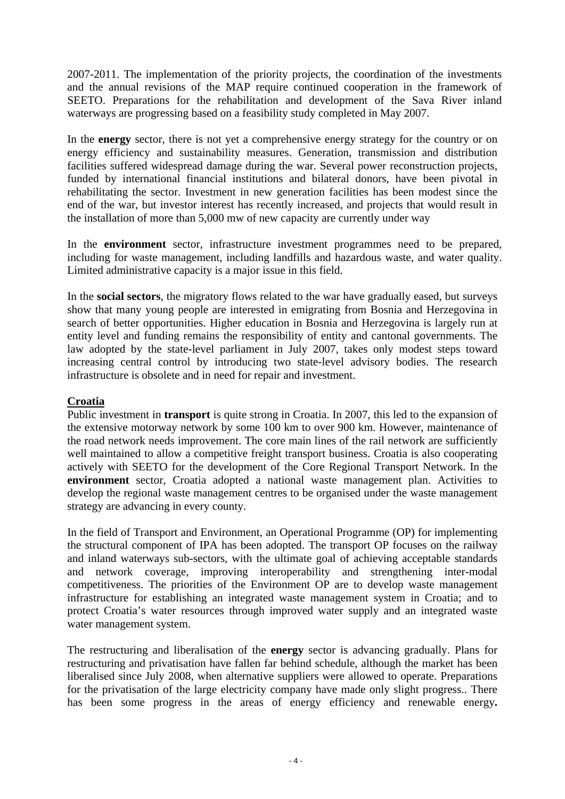2007-2011. The implementation of the priority projects, the coordination of the investments and the annual revisions of the MAP require continued cooperation in the framework of SEETO. Preparations for the rehabilitation and development of the Sava River inland waterways are progressing based on a feasibility study completed in May 2007.

In the **energy** sector, there is not yet a comprehensive energy strategy for the country or on energy efficiency and sustainability measures. Generation, transmission and distribution facilities suffered widespread damage during the war. Several power reconstruction projects, funded by international financial institutions and bilateral donors, have been pivotal in rehabilitating the sector. Investment in new generation facilities has been modest since the end of the war, but investor interest has recently increased, and projects that would result in the installation of more than 5,000 mw of new capacity are currently under way

In the **environment** sector, infrastructure investment programmes need to be prepared, including for waste management, including landfills and hazardous waste, and water quality. Limited administrative capacity is a major issue in this field.

In the **social sectors**, the migratory flows related to the war have gradually eased, but surveys show that many young people are interested in emigrating from Bosnia and Herzegovina in search of better opportunities. Higher education in Bosnia and Herzegovina is largely run at entity level and funding remains the responsibility of entity and cantonal governments. The law adopted by the state-level parliament in July 2007, takes only modest steps toward increasing central control by introducing two state-level advisory bodies. The research infrastructure is obsolete and in need for repair and investment.

#### **Croatia**

Public investment in **transport** is quite strong in Croatia. In 2007, this led to the expansion of the extensive motorway network by some 100 km to over 900 km. However, maintenance of the road network needs improvement. The core main lines of the rail network are sufficiently well maintained to allow a competitive freight transport business. Croatia is also cooperating actively with SEETO for the development of the Core Regional Transport Network. In the **environment** sector, Croatia adopted a national waste management plan. Activities to develop the regional waste management centres to be organised under the waste management strategy are advancing in every county.

In the field of Transport and Environment, an Operational Programme (OP) for implementing the structural component of IPA has been adopted. The transport OP focuses on the railway and inland waterways sub-sectors, with the ultimate goal of achieving acceptable standards and network coverage, improving interoperability and strengthening inter-modal competitiveness. The priorities of the Environment OP are to develop waste management infrastructure for establishing an integrated waste management system in Croatia; and to protect Croatia's water resources through improved water supply and an integrated waste water management system.

The restructuring and liberalisation of the **energy** sector is advancing gradually. Plans for restructuring and privatisation have fallen far behind schedule, although the market has been liberalised since July 2008, when alternative suppliers were allowed to operate. Preparations for the privatisation of the large electricity company have made only slight progress.. There has been some progress in the areas of energy efficiency and renewable energy**.**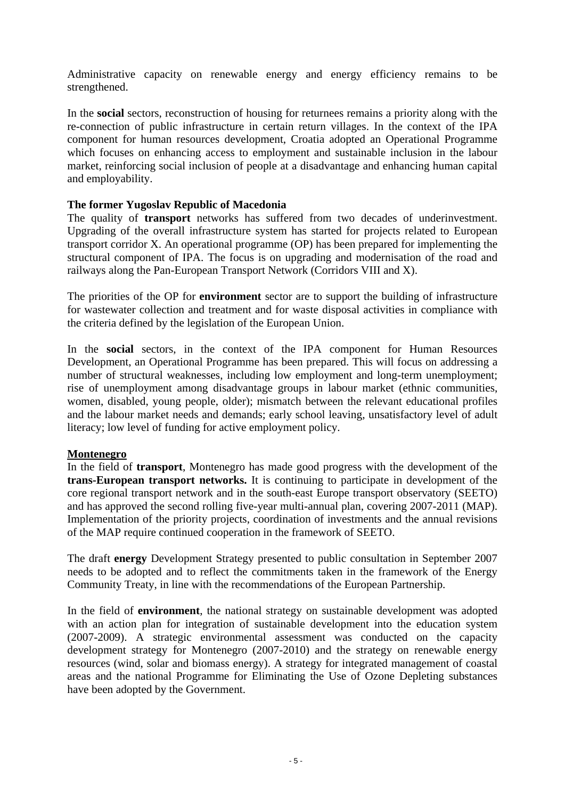Administrative capacity on renewable energy and energy efficiency remains to be strengthened.

In the **social** sectors, reconstruction of housing for returnees remains a priority along with the re-connection of public infrastructure in certain return villages. In the context of the IPA component for human resources development, Croatia adopted an Operational Programme which focuses on enhancing access to employment and sustainable inclusion in the labour market, reinforcing social inclusion of people at a disadvantage and enhancing human capital and employability.

## **The former Yugoslav Republic of Macedonia**

The quality of **transport** networks has suffered from two decades of underinvestment. Upgrading of the overall infrastructure system has started for projects related to European transport corridor X. An operational programme (OP) has been prepared for implementing the structural component of IPA. The focus is on upgrading and modernisation of the road and railways along the Pan-European Transport Network (Corridors VIII and X).

The priorities of the OP for **environment** sector are to support the building of infrastructure for wastewater collection and treatment and for waste disposal activities in compliance with the criteria defined by the legislation of the European Union.

In the **social** sectors, in the context of the IPA component for Human Resources Development, an Operational Programme has been prepared. This will focus on addressing a number of structural weaknesses, including low employment and long-term unemployment; rise of unemployment among disadvantage groups in labour market (ethnic communities, women, disabled, young people, older); mismatch between the relevant educational profiles and the labour market needs and demands; early school leaving, unsatisfactory level of adult literacy; low level of funding for active employment policy.

#### **Montenegro**

In the field of **transport**, Montenegro has made good progress with the development of the **trans-European transport networks.** It is continuing to participate in development of the core regional transport network and in the south-east Europe transport observatory (SEETO) and has approved the second rolling five-year multi-annual plan, covering 2007-2011 (MAP). Implementation of the priority projects, coordination of investments and the annual revisions of the MAP require continued cooperation in the framework of SEETO.

The draft **energy** Development Strategy presented to public consultation in September 2007 needs to be adopted and to reflect the commitments taken in the framework of the Energy Community Treaty, in line with the recommendations of the European Partnership.

In the field of **environment**, the national strategy on sustainable development was adopted with an action plan for integration of sustainable development into the education system (2007-2009). A strategic environmental assessment was conducted on the capacity development strategy for Montenegro (2007-2010) and the strategy on renewable energy resources (wind, solar and biomass energy). A strategy for integrated management of coastal areas and the national Programme for Eliminating the Use of Ozone Depleting substances have been adopted by the Government.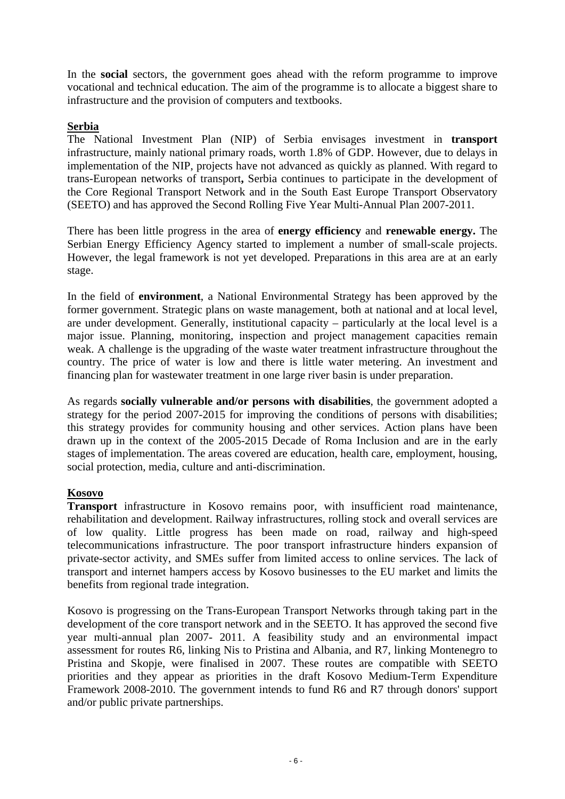In the **social** sectors, the government goes ahead with the reform programme to improve vocational and technical education. The aim of the programme is to allocate a biggest share to infrastructure and the provision of computers and textbooks.

#### **Serbia**

The National Investment Plan (NIP) of Serbia envisages investment in **transport** infrastructure, mainly national primary roads, worth 1.8% of GDP. However, due to delays in implementation of the NIP, projects have not advanced as quickly as planned. With regard to trans-European networks of transport**,** Serbia continues to participate in the development of the Core Regional Transport Network and in the South East Europe Transport Observatory (SEETO) and has approved the Second Rolling Five Year Multi-Annual Plan 2007-2011.

There has been little progress in the area of **energy efficiency** and **renewable energy.** The Serbian Energy Efficiency Agency started to implement a number of small-scale projects. However, the legal framework is not yet developed. Preparations in this area are at an early stage.

In the field of **environment**, a National Environmental Strategy has been approved by the former government. Strategic plans on waste management, both at national and at local level, are under development. Generally, institutional capacity – particularly at the local level is a major issue. Planning, monitoring, inspection and project management capacities remain weak. A challenge is the upgrading of the waste water treatment infrastructure throughout the country. The price of water is low and there is little water metering. An investment and financing plan for wastewater treatment in one large river basin is under preparation.

As regards **socially vulnerable and/or persons with disabilities***,* the government adopted a strategy for the period 2007-2015 for improving the conditions of persons with disabilities; this strategy provides for community housing and other services. Action plans have been drawn up in the context of the 2005-2015 Decade of Roma Inclusion and are in the early stages of implementation. The areas covered are education, health care, employment, housing, social protection, media, culture and anti-discrimination.

## **Kosovo**

**Transport** infrastructure in Kosovo remains poor, with insufficient road maintenance, rehabilitation and development. Railway infrastructures, rolling stock and overall services are of low quality. Little progress has been made on road, railway and high-speed telecommunications infrastructure. The poor transport infrastructure hinders expansion of private-sector activity, and SMEs suffer from limited access to online services. The lack of transport and internet hampers access by Kosovo businesses to the EU market and limits the benefits from regional trade integration.

Kosovo is progressing on the Trans-European Transport Networks through taking part in the development of the core transport network and in the SEETO. It has approved the second five year multi-annual plan 2007- 2011. A feasibility study and an environmental impact assessment for routes R6, linking Nis to Pristina and Albania, and R7, linking Montenegro to Pristina and Skopje, were finalised in 2007. These routes are compatible with SEETO priorities and they appear as priorities in the draft Kosovo Medium-Term Expenditure Framework 2008-2010. The government intends to fund R6 and R7 through donors' support and/or public private partnerships.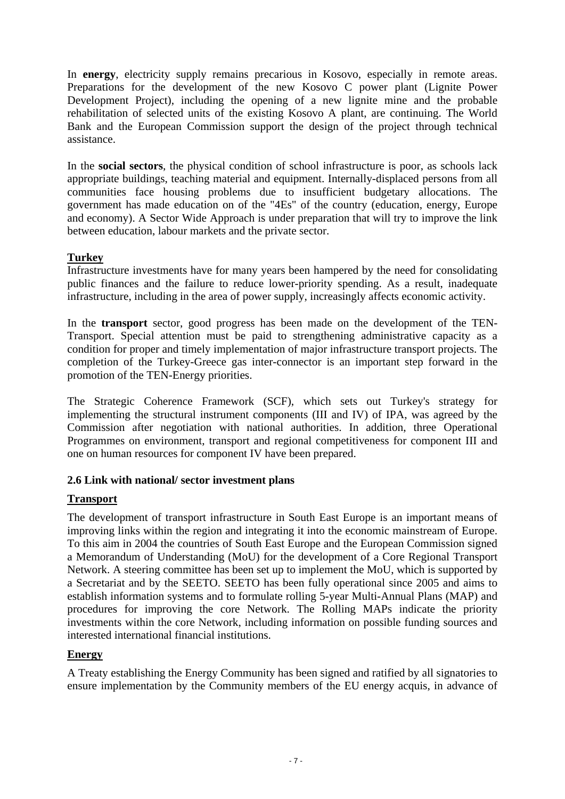In **energy**, electricity supply remains precarious in Kosovo, especially in remote areas. Preparations for the development of the new Kosovo C power plant (Lignite Power Development Project), including the opening of a new lignite mine and the probable rehabilitation of selected units of the existing Kosovo A plant, are continuing. The World Bank and the European Commission support the design of the project through technical assistance.

In the **social sectors**, the physical condition of school infrastructure is poor, as schools lack appropriate buildings, teaching material and equipment. Internally-displaced persons from all communities face housing problems due to insufficient budgetary allocations. The government has made education on of the "4Es" of the country (education, energy, Europe and economy). A Sector Wide Approach is under preparation that will try to improve the link between education, labour markets and the private sector.

## **Turkey**

Infrastructure investments have for many years been hampered by the need for consolidating public finances and the failure to reduce lower-priority spending. As a result, inadequate infrastructure, including in the area of power supply, increasingly affects economic activity.

In the **transport** sector, good progress has been made on the development of the TEN-Transport. Special attention must be paid to strengthening administrative capacity as a condition for proper and timely implementation of major infrastructure transport projects. The completion of the Turkey-Greece gas inter-connector is an important step forward in the promotion of the TEN-Energy priorities.

The Strategic Coherence Framework (SCF), which sets out Turkey's strategy for implementing the structural instrument components (III and IV) of IPA, was agreed by the Commission after negotiation with national authorities. In addition, three Operational Programmes on environment, transport and regional competitiveness for component III and one on human resources for component IV have been prepared.

## **2.6 Link with national/ sector investment plans**

## **Transport**

The development of transport infrastructure in South East Europe is an important means of improving links within the region and integrating it into the economic mainstream of Europe. To this aim in 2004 the countries of South East Europe and the European Commission signed a Memorandum of Understanding (MoU) for the development of a Core Regional Transport Network. A steering committee has been set up to implement the MoU, which is supported by a Secretariat and by the SEETO. SEETO has been fully operational since 2005 and aims to establish information systems and to formulate rolling 5-year Multi-Annual Plans (MAP) and procedures for improving the core Network. The Rolling MAPs indicate the priority investments within the core Network, including information on possible funding sources and interested international financial institutions.

# **Energy**

A Treaty establishing the Energy Community has been signed and ratified by all signatories to ensure implementation by the Community members of the EU energy acquis, in advance of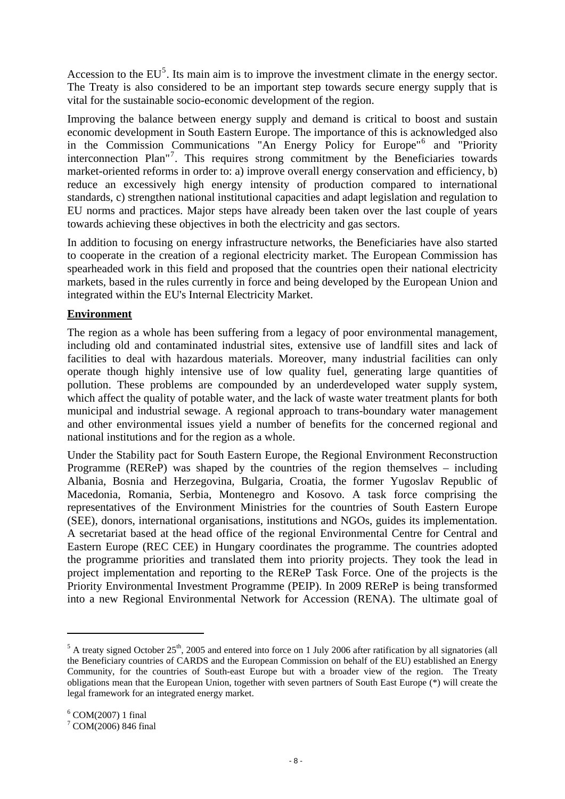<span id="page-7-0"></span>Accession to the  $EU^5$  $EU^5$ . Its main aim is to improve the investment climate in the energy sector. The Treaty is also considered to be an important step towards secure energy supply that is vital for the sustainable socio-economic development of the region.

Improving the balance between energy supply and demand is critical to boost and sustain economic development in South Eastern Europe. The importance of this is acknowledged also in the Commission Communications "An Energy Policy for Europe"[6](#page-7-0) and "Priority interconnection Plan"[7](#page-7-0) . This requires strong commitment by the Beneficiaries towards market-oriented reforms in order to: a) improve overall energy conservation and efficiency, b) reduce an excessively high energy intensity of production compared to international standards, c) strengthen national institutional capacities and adapt legislation and regulation to EU norms and practices. Major steps have already been taken over the last couple of years towards achieving these objectives in both the electricity and gas sectors.

In addition to focusing on energy infrastructure networks, the Beneficiaries have also started to cooperate in the creation of a regional electricity market. The European Commission has spearheaded work in this field and proposed that the countries open their national electricity markets, based in the rules currently in force and being developed by the European Union and integrated within the EU's Internal Electricity Market.

## **Environment**

The region as a whole has been suffering from a legacy of poor environmental management, including old and contaminated industrial sites, extensive use of landfill sites and lack of facilities to deal with hazardous materials. Moreover, many industrial facilities can only operate though highly intensive use of low quality fuel, generating large quantities of pollution. These problems are compounded by an underdeveloped water supply system, which affect the quality of potable water, and the lack of waste water treatment plants for both municipal and industrial sewage. A regional approach to trans-boundary water management and other environmental issues yield a number of benefits for the concerned regional and national institutions and for the region as a whole.

Under the Stability pact for South Eastern Europe, the Regional Environment Reconstruction Programme (REReP) was shaped by the countries of the region themselves – including Albania, Bosnia and Herzegovina, Bulgaria, Croatia, the former Yugoslav Republic of Macedonia, Romania, Serbia, Montenegro and Kosovo. A task force comprising the representatives of the Environment Ministries for the countries of South Eastern Europe (SEE), donors, international organisations, institutions and NGOs, guides its implementation. A secretariat based at the head office of the regional Environmental Centre for Central and Eastern Europe (REC CEE) in Hungary coordinates the programme. The countries adopted the programme priorities and translated them into priority projects. They took the lead in project implementation and reporting to the REReP Task Force. One of the projects is the Priority Environmental Investment Programme (PEIP). In 2009 REReP is being transformed into a new Regional Environmental Network for Accession (RENA). The ultimate goal of

<u>.</u>

 $<sup>5</sup>$  A treaty signed October 25<sup>th</sup>, 2005 and entered into force on 1 July 2006 after ratification by all signatories (all</sup> the Beneficiary countries of CARDS and the European Commission on behalf of the EU) established an Energy Community, for the countries of South-east Europe but with a broader view of the region. The Treaty obligations mean that the European Union, together with seven partners of South East Europe (\*) will create the legal framework for an integrated energy market.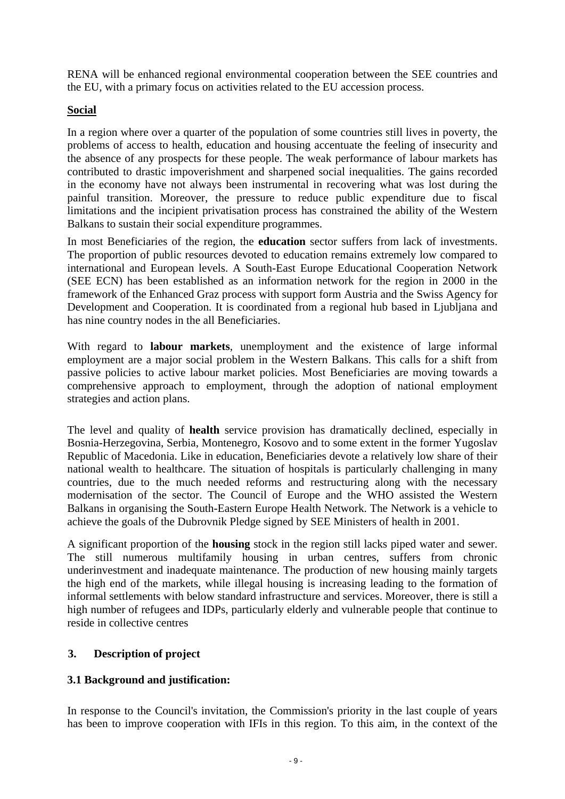RENA will be enhanced regional environmental cooperation between the SEE countries and the EU, with a primary focus on activities related to the EU accession process.

## **Social**

In a region where over a quarter of the population of some countries still lives in poverty, the problems of access to health, education and housing accentuate the feeling of insecurity and the absence of any prospects for these people. The weak performance of labour markets has contributed to drastic impoverishment and sharpened social inequalities. The gains recorded in the economy have not always been instrumental in recovering what was lost during the painful transition. Moreover, the pressure to reduce public expenditure due to fiscal limitations and the incipient privatisation process has constrained the ability of the Western Balkans to sustain their social expenditure programmes.

In most Beneficiaries of the region, the **education** sector suffers from lack of investments. The proportion of public resources devoted to education remains extremely low compared to international and European levels. A South-East Europe Educational Cooperation Network (SEE ECN) has been established as an information network for the region in 2000 in the framework of the Enhanced Graz process with support form Austria and the Swiss Agency for Development and Cooperation. It is coordinated from a regional hub based in Ljubljana and has nine country nodes in the all Beneficiaries.

With regard to **labour markets**, unemployment and the existence of large informal employment are a major social problem in the Western Balkans. This calls for a shift from passive policies to active labour market policies. Most Beneficiaries are moving towards a comprehensive approach to employment, through the adoption of national employment strategies and action plans.

The level and quality of **health** service provision has dramatically declined, especially in Bosnia-Herzegovina, Serbia, Montenegro, Kosovo and to some extent in the former Yugoslav Republic of Macedonia. Like in education, Beneficiaries devote a relatively low share of their national wealth to healthcare. The situation of hospitals is particularly challenging in many countries, due to the much needed reforms and restructuring along with the necessary modernisation of the sector. The Council of Europe and the WHO assisted the Western Balkans in organising the South-Eastern Europe Health Network. The Network is a vehicle to achieve the goals of the Dubrovnik Pledge signed by SEE Ministers of health in 2001.

A significant proportion of the **housing** stock in the region still lacks piped water and sewer. The still numerous multifamily housing in urban centres, suffers from chronic underinvestment and inadequate maintenance. The production of new housing mainly targets the high end of the markets, while illegal housing is increasing leading to the formation of informal settlements with below standard infrastructure and services. Moreover, there is still a high number of refugees and IDPs, particularly elderly and vulnerable people that continue to reside in collective centres

## **3. Description of project**

## **3.1 Background and justification:**

In response to the Council's invitation, the Commission's priority in the last couple of years has been to improve cooperation with IFIs in this region. To this aim, in the context of the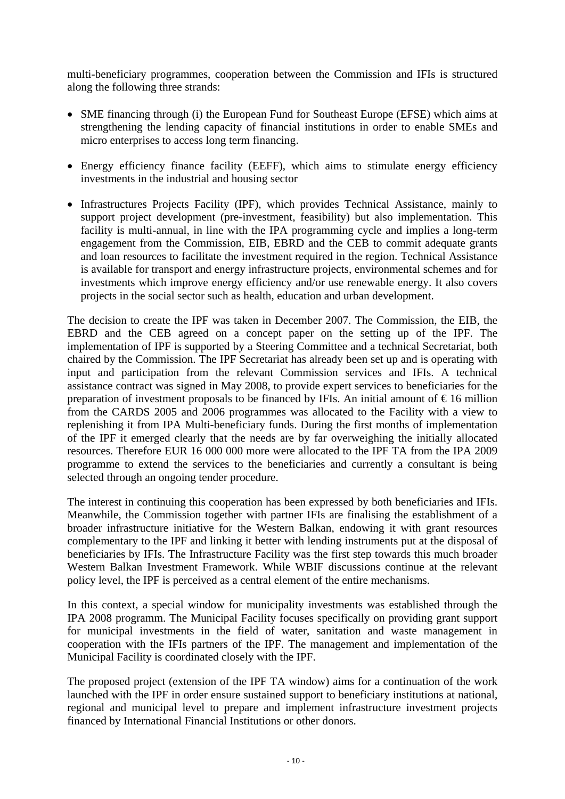multi-beneficiary programmes, cooperation between the Commission and IFIs is structured along the following three strands:

- SME financing through (i) the European Fund for Southeast Europe (EFSE) which aims at strengthening the lending capacity of financial institutions in order to enable SMEs and micro enterprises to access long term financing.
- Energy efficiency finance facility (EEFF), which aims to stimulate energy efficiency investments in the industrial and housing sector
- Infrastructures Projects Facility (IPF), which provides Technical Assistance, mainly to support project development (pre-investment, feasibility) but also implementation. This facility is multi-annual, in line with the IPA programming cycle and implies a long-term engagement from the Commission, EIB, EBRD and the CEB to commit adequate grants and loan resources to facilitate the investment required in the region. Technical Assistance is available for transport and energy infrastructure projects, environmental schemes and for investments which improve energy efficiency and/or use renewable energy. It also covers projects in the social sector such as health, education and urban development.

The decision to create the IPF was taken in December 2007. The Commission, the EIB, the EBRD and the CEB agreed on a concept paper on the setting up of the IPF. The implementation of IPF is supported by a Steering Committee and a technical Secretariat, both chaired by the Commission. The IPF Secretariat has already been set up and is operating with input and participation from the relevant Commission services and IFIs. A technical assistance contract was signed in May 2008, to provide expert services to beneficiaries for the preparation of investment proposals to be financed by IFIs. An initial amount of  $\epsilon$ 16 million from the CARDS 2005 and 2006 programmes was allocated to the Facility with a view to replenishing it from IPA Multi-beneficiary funds. During the first months of implementation of the IPF it emerged clearly that the needs are by far overweighing the initially allocated resources. Therefore EUR 16 000 000 more were allocated to the IPF TA from the IPA 2009 programme to extend the services to the beneficiaries and currently a consultant is being selected through an ongoing tender procedure.

The interest in continuing this cooperation has been expressed by both beneficiaries and IFIs. Meanwhile, the Commission together with partner IFIs are finalising the establishment of a broader infrastructure initiative for the Western Balkan, endowing it with grant resources complementary to the IPF and linking it better with lending instruments put at the disposal of beneficiaries by IFIs. The Infrastructure Facility was the first step towards this much broader Western Balkan Investment Framework. While WBIF discussions continue at the relevant policy level, the IPF is perceived as a central element of the entire mechanisms.

In this context, a special window for municipality investments was established through the IPA 2008 programm. The Municipal Facility focuses specifically on providing grant support for municipal investments in the field of water, sanitation and waste management in cooperation with the IFIs partners of the IPF. The management and implementation of the Municipal Facility is coordinated closely with the IPF.

The proposed project (extension of the IPF TA window) aims for a continuation of the work launched with the IPF in order ensure sustained support to beneficiary institutions at national, regional and municipal level to prepare and implement infrastructure investment projects financed by International Financial Institutions or other donors.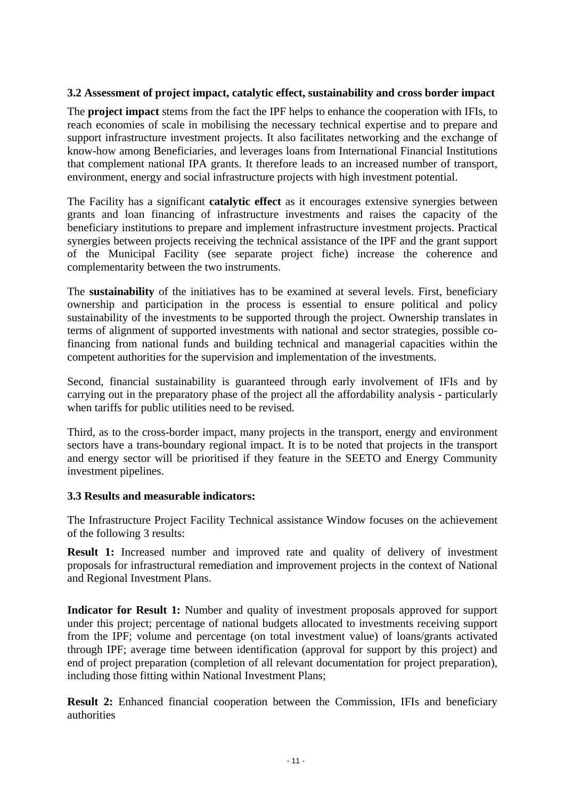## **3.2 Assessment of project impact, catalytic effect, sustainability and cross border impact**

The **project impact** stems from the fact the IPF helps to enhance the cooperation with IFIs, to reach economies of scale in mobilising the necessary technical expertise and to prepare and support infrastructure investment projects. It also facilitates networking and the exchange of know-how among Beneficiaries, and leverages loans from International Financial Institutions that complement national IPA grants. It therefore leads to an increased number of transport, environment, energy and social infrastructure projects with high investment potential.

The Facility has a significant **catalytic effect** as it encourages extensive synergies between grants and loan financing of infrastructure investments and raises the capacity of the beneficiary institutions to prepare and implement infrastructure investment projects. Practical synergies between projects receiving the technical assistance of the IPF and the grant support of the Municipal Facility (see separate project fiche) increase the coherence and complementarity between the two instruments.

The **sustainability** of the initiatives has to be examined at several levels. First, beneficiary ownership and participation in the process is essential to ensure political and policy sustainability of the investments to be supported through the project. Ownership translates in terms of alignment of supported investments with national and sector strategies, possible cofinancing from national funds and building technical and managerial capacities within the competent authorities for the supervision and implementation of the investments.

Second, financial sustainability is guaranteed through early involvement of IFIs and by carrying out in the preparatory phase of the project all the affordability analysis - particularly when tariffs for public utilities need to be revised.

Third, as to the cross-border impact, many projects in the transport, energy and environment sectors have a trans-boundary regional impact. It is to be noted that projects in the transport and energy sector will be prioritised if they feature in the SEETO and Energy Community investment pipelines.

#### **3.3 Results and measurable indicators:**

The Infrastructure Project Facility Technical assistance Window focuses on the achievement of the following 3 results:

**Result 1:** Increased number and improved rate and quality of delivery of investment proposals for infrastructural remediation and improvement projects in the context of National and Regional Investment Plans.

**Indicator for Result 1:** Number and quality of investment proposals approved for support under this project; percentage of national budgets allocated to investments receiving support from the IPF; volume and percentage (on total investment value) of loans/grants activated through IPF; average time between identification (approval for support by this project) and end of project preparation (completion of all relevant documentation for project preparation), including those fitting within National Investment Plans;

**Result 2:** Enhanced financial cooperation between the Commission, IFIs and beneficiary authorities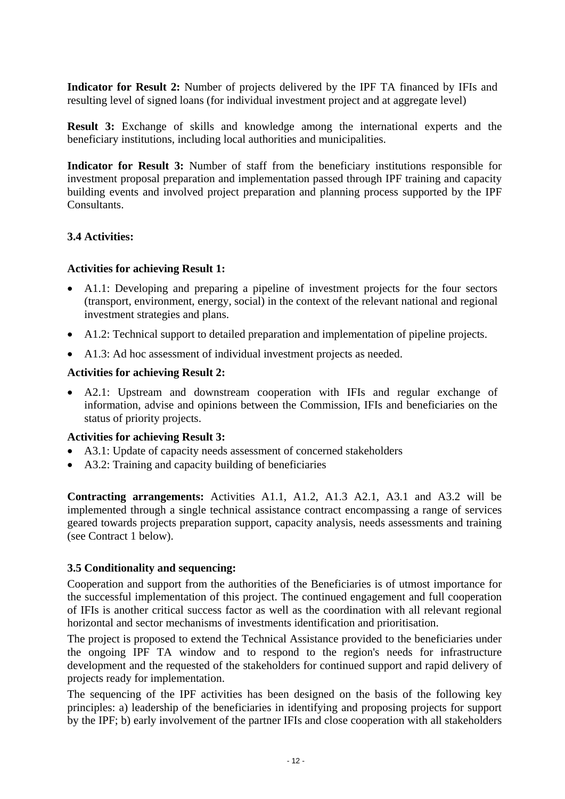**Indicator for Result 2:** Number of projects delivered by the IPF TA financed by IFIs and resulting level of signed loans (for individual investment project and at aggregate level)

**Result 3:** Exchange of skills and knowledge among the international experts and the beneficiary institutions, including local authorities and municipalities.

**Indicator for Result 3:** Number of staff from the beneficiary institutions responsible for investment proposal preparation and implementation passed through IPF training and capacity building events and involved project preparation and planning process supported by the IPF Consultants.

## **3.4 Activities:**

#### **Activities for achieving Result 1:**

- A1.1: Developing and preparing a pipeline of investment projects for the four sectors (transport, environment, energy, social) in the context of the relevant national and regional investment strategies and plans.
- A1.2: Technical support to detailed preparation and implementation of pipeline projects.
- A1.3: Ad hoc assessment of individual investment projects as needed.

#### **Activities for achieving Result 2:**

• A2.1: Upstream and downstream cooperation with IFIs and regular exchange of information, advise and opinions between the Commission, IFIs and beneficiaries on the status of priority projects.

#### **Activities for achieving Result 3:**

- A3.1: Update of capacity needs assessment of concerned stakeholders
- A3.2: Training and capacity building of beneficiaries

**Contracting arrangements:** Activities A1.1, A1.2, A1.3 A2.1, A3.1 and A3.2 will be implemented through a single technical assistance contract encompassing a range of services geared towards projects preparation support, capacity analysis, needs assessments and training (see Contract 1 below).

## **3.5 Conditionality and sequencing:**

Cooperation and support from the authorities of the Beneficiaries is of utmost importance for the successful implementation of this project. The continued engagement and full cooperation of IFIs is another critical success factor as well as the coordination with all relevant regional horizontal and sector mechanisms of investments identification and prioritisation.

The project is proposed to extend the Technical Assistance provided to the beneficiaries under the ongoing IPF TA window and to respond to the region's needs for infrastructure development and the requested of the stakeholders for continued support and rapid delivery of projects ready for implementation.

The sequencing of the IPF activities has been designed on the basis of the following key principles: a) leadership of the beneficiaries in identifying and proposing projects for support by the IPF; b) early involvement of the partner IFIs and close cooperation with all stakeholders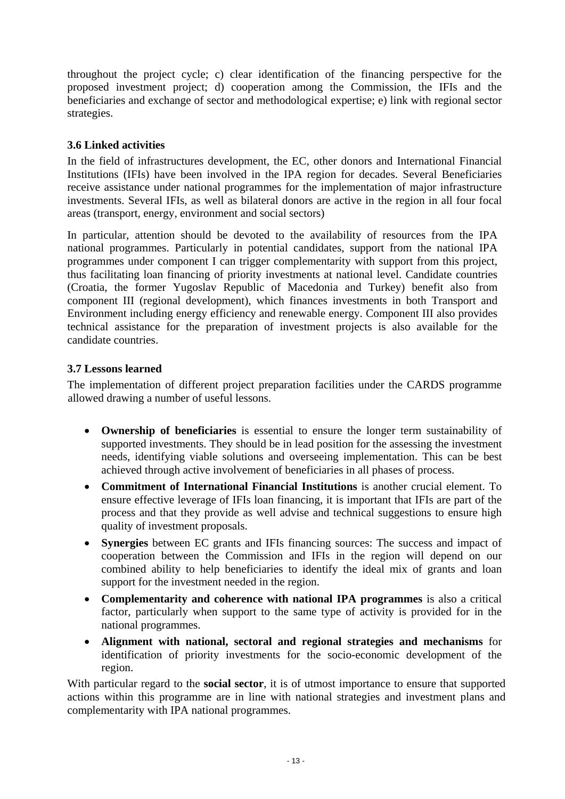throughout the project cycle; c) clear identification of the financing perspective for the proposed investment project; d) cooperation among the Commission, the IFIs and the beneficiaries and exchange of sector and methodological expertise; e) link with regional sector strategies.

## **3.6 Linked activities**

In the field of infrastructures development, the EC, other donors and International Financial Institutions (IFIs) have been involved in the IPA region for decades. Several Beneficiaries receive assistance under national programmes for the implementation of major infrastructure investments. Several IFIs, as well as bilateral donors are active in the region in all four focal areas (transport, energy, environment and social sectors)

In particular, attention should be devoted to the availability of resources from the IPA national programmes. Particularly in potential candidates, support from the national IPA programmes under component I can trigger complementarity with support from this project, thus facilitating loan financing of priority investments at national level. Candidate countries (Croatia, the former Yugoslav Republic of Macedonia and Turkey) benefit also from component III (regional development), which finances investments in both Transport and Environment including energy efficiency and renewable energy. Component III also provides technical assistance for the preparation of investment projects is also available for the candidate countries.

## **3.7 Lessons learned**

The implementation of different project preparation facilities under the CARDS programme allowed drawing a number of useful lessons.

- **Ownership of beneficiaries** is essential to ensure the longer term sustainability of supported investments. They should be in lead position for the assessing the investment needs, identifying viable solutions and overseeing implementation. This can be best achieved through active involvement of beneficiaries in all phases of process.
- **Commitment of International Financial Institutions** is another crucial element. To ensure effective leverage of IFIs loan financing, it is important that IFIs are part of the process and that they provide as well advise and technical suggestions to ensure high quality of investment proposals.
- **Synergies** between EC grants and IFIs financing sources: The success and impact of cooperation between the Commission and IFIs in the region will depend on our combined ability to help beneficiaries to identify the ideal mix of grants and loan support for the investment needed in the region.
- **Complementarity and coherence with national IPA programmes** is also a critical factor, particularly when support to the same type of activity is provided for in the national programmes.
- **Alignment with national, sectoral and regional strategies and mechanisms** for identification of priority investments for the socio-economic development of the region.

With particular regard to the **social sector**, it is of utmost importance to ensure that supported actions within this programme are in line with national strategies and investment plans and complementarity with IPA national programmes.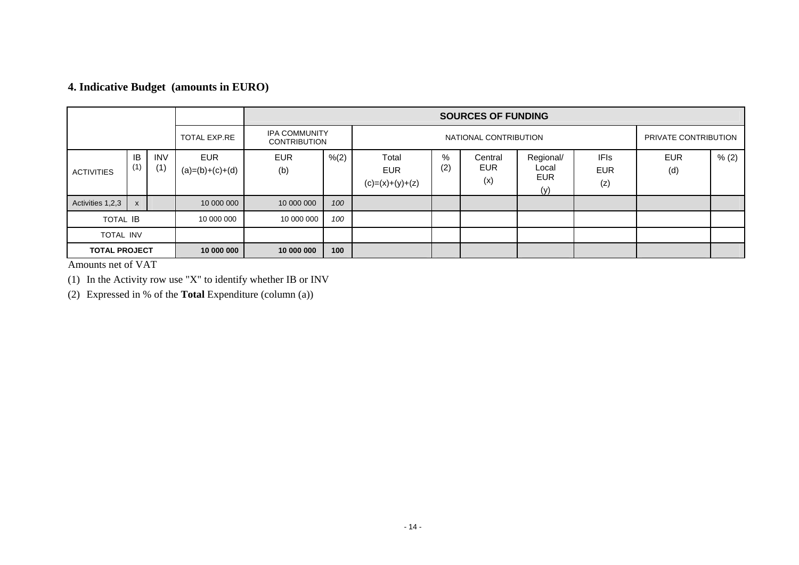# **4. Indicative Budget (amounts in EURO)**

|                      |              |                   |                                 |                                             |       |                                          |          | <b>SOURCES OF FUNDING</b> |                                         |                                  |                   |       |
|----------------------|--------------|-------------------|---------------------------------|---------------------------------------------|-------|------------------------------------------|----------|---------------------------|-----------------------------------------|----------------------------------|-------------------|-------|
|                      |              |                   | <b>TOTAL EXP.RE</b>             | <b>IPA COMMUNITY</b><br><b>CONTRIBUTION</b> |       | NATIONAL CONTRIBUTION                    |          |                           |                                         | PRIVATE CONTRIBUTION             |                   |       |
| <b>ACTIVITIES</b>    | IB<br>(1)    | <b>INV</b><br>(1) | <b>EUR</b><br>$(a)=(b)+(c)+(d)$ | <b>EUR</b><br>(b)                           | % (2) | Total<br><b>EUR</b><br>$(c)=(x)+(y)+(z)$ | %<br>(2) | Central<br>EUR<br>(x)     | Regional/<br>Local<br><b>EUR</b><br>(y) | <b>IFIs</b><br><b>EUR</b><br>(z) | <b>EUR</b><br>(d) | % (2) |
| Activities 1,2,3     | $\mathsf{x}$ |                   | 10 000 000                      | 10 000 000                                  | 100   |                                          |          |                           |                                         |                                  |                   |       |
| <b>TOTAL IB</b>      |              |                   | 10 000 000                      | 10 000 000                                  | 100   |                                          |          |                           |                                         |                                  |                   |       |
| <b>TOTAL INV</b>     |              |                   |                                 |                                             |       |                                          |          |                           |                                         |                                  |                   |       |
| <b>TOTAL PROJECT</b> |              |                   | 10 000 000                      | 10 000 000                                  | 100   |                                          |          |                           |                                         |                                  |                   |       |

Amounts net of VAT

(1) In the Activity row use "X" to identify whether IB or INV

(2) Expressed in % of the **Total** Expenditure (column (a))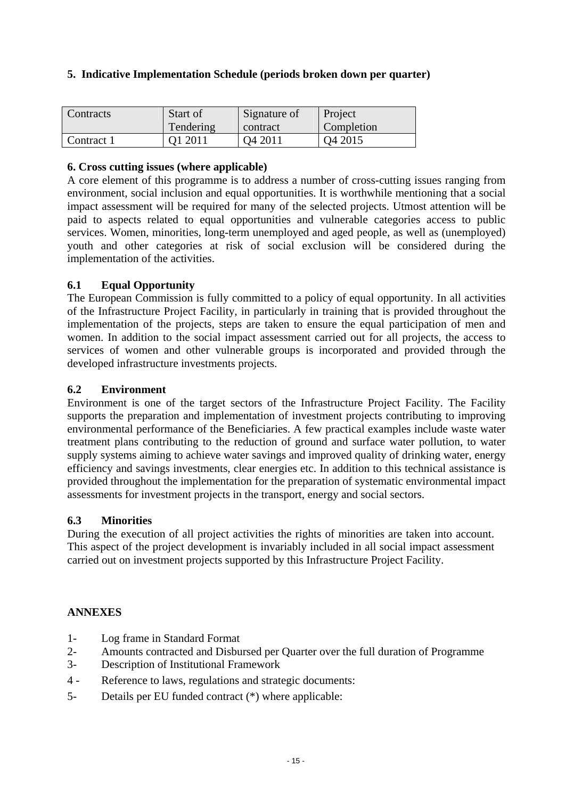|  |  | 5. Indicative Implementation Schedule (periods broken down per quarter) |  |  |  |  |  |
|--|--|-------------------------------------------------------------------------|--|--|--|--|--|
|--|--|-------------------------------------------------------------------------|--|--|--|--|--|

| <b>Contracts</b> | Start of  | Signature of        | Project             |  |  |
|------------------|-----------|---------------------|---------------------|--|--|
|                  | Tendering | contract            | Completion          |  |  |
| Contract 1       | O1 2011   | O <sub>4</sub> 2011 | O <sub>4</sub> 2015 |  |  |

## **6. Cross cutting issues (where applicable)**

A core element of this programme is to address a number of cross-cutting issues ranging from environment, social inclusion and equal opportunities. It is worthwhile mentioning that a social impact assessment will be required for many of the selected projects. Utmost attention will be paid to aspects related to equal opportunities and vulnerable categories access to public services. Women, minorities, long-term unemployed and aged people, as well as (unemployed) youth and other categories at risk of social exclusion will be considered during the implementation of the activities.

## **6.1 Equal Opportunity**

The European Commission is fully committed to a policy of equal opportunity. In all activities of the Infrastructure Project Facility, in particularly in training that is provided throughout the implementation of the projects, steps are taken to ensure the equal participation of men and women. In addition to the social impact assessment carried out for all projects, the access to services of women and other vulnerable groups is incorporated and provided through the developed infrastructure investments projects.

## **6.2 Environment**

Environment is one of the target sectors of the Infrastructure Project Facility. The Facility supports the preparation and implementation of investment projects contributing to improving environmental performance of the Beneficiaries. A few practical examples include waste water treatment plans contributing to the reduction of ground and surface water pollution, to water supply systems aiming to achieve water savings and improved quality of drinking water, energy efficiency and savings investments, clear energies etc. In addition to this technical assistance is provided throughout the implementation for the preparation of systematic environmental impact assessments for investment projects in the transport, energy and social sectors.

## **6.3 Minorities**

During the execution of all project activities the rights of minorities are taken into account. This aspect of the project development is invariably included in all social impact assessment carried out on investment projects supported by this Infrastructure Project Facility.

## **ANNEXES**

- 1- Log frame in Standard Format
- 2- Amounts contracted and Disbursed per Quarter over the full duration of Programme
- 3- Description of Institutional Framework
- 4 Reference to laws, regulations and strategic documents:
- 5- Details per EU funded contract (\*) where applicable: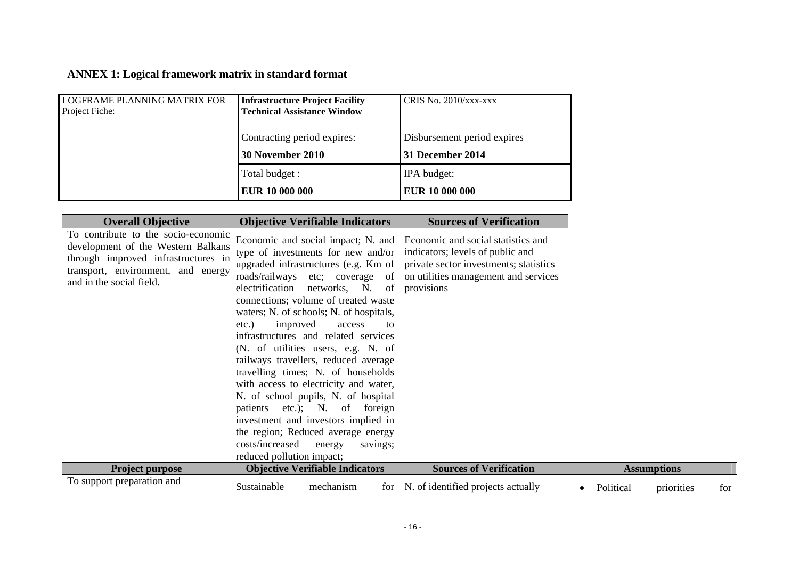# **ANNEX 1: Logical framework matrix in standard format**

| <b>LOGFRAME PLANNING MATRIX FOR</b><br>Project Fiche: | <b>Infrastructure Project Facility</b><br><b>Technical Assistance Window</b> | CRIS No. $2010/xxx$ - $xxx$ |
|-------------------------------------------------------|------------------------------------------------------------------------------|-----------------------------|
|                                                       | Contracting period expires:                                                  | Disbursement period expires |
|                                                       | 30 November 2010                                                             | 31 December 2014            |
|                                                       | Total budget :                                                               | IPA budget:                 |
|                                                       | EUR 10 000 000                                                               | <b>EUR 10 000 000</b>       |

| <b>Overall Objective</b>                                                                                                                                                           | <b>Objective Verifiable Indicators</b>                                                                                                                                                                                                                                                                                                                                                                                                                                                                                                                                                                                                                                                                                                               | <b>Sources of Verification</b>                                                                                                                                         |  |           |                    |  |     |
|------------------------------------------------------------------------------------------------------------------------------------------------------------------------------------|------------------------------------------------------------------------------------------------------------------------------------------------------------------------------------------------------------------------------------------------------------------------------------------------------------------------------------------------------------------------------------------------------------------------------------------------------------------------------------------------------------------------------------------------------------------------------------------------------------------------------------------------------------------------------------------------------------------------------------------------------|------------------------------------------------------------------------------------------------------------------------------------------------------------------------|--|-----------|--------------------|--|-----|
| To contribute to the socio-economic<br>development of the Western Balkans<br>through improved infrastructures in<br>transport, environment, and energy<br>and in the social field. | Economic and social impact; N. and<br>type of investments for new and/or<br>upgraded infrastructures (e.g. Km of<br>roads/railways etc; coverage of<br>electrification<br>networks, N. of<br>connections; volume of treated waste<br>waters; N. of schools; N. of hospitals,<br>improved<br>etc.)<br>access<br>to<br>infrastructures and related services<br>(N. of utilities users, e.g. N. of<br>railways travellers, reduced average<br>travelling times; N. of households<br>with access to electricity and water,<br>N. of school pupils, N. of hospital<br>patients etc.); N.<br>of foreign<br>investment and investors implied in<br>the region; Reduced average energy<br>costs/increased<br>energy<br>savings;<br>reduced pollution impact; | Economic and social statistics and<br>indicators; levels of public and<br>private sector investments; statistics<br>on utilities management and services<br>provisions |  |           |                    |  |     |
| <b>Project purpose</b>                                                                                                                                                             | <b>Objective Verifiable Indicators</b>                                                                                                                                                                                                                                                                                                                                                                                                                                                                                                                                                                                                                                                                                                               | <b>Sources of Verification</b>                                                                                                                                         |  |           | <b>Assumptions</b> |  |     |
| To support preparation and                                                                                                                                                         | Sustainable<br>for<br>mechanism                                                                                                                                                                                                                                                                                                                                                                                                                                                                                                                                                                                                                                                                                                                      | N. of identified projects actually                                                                                                                                     |  | Political | priorities         |  | for |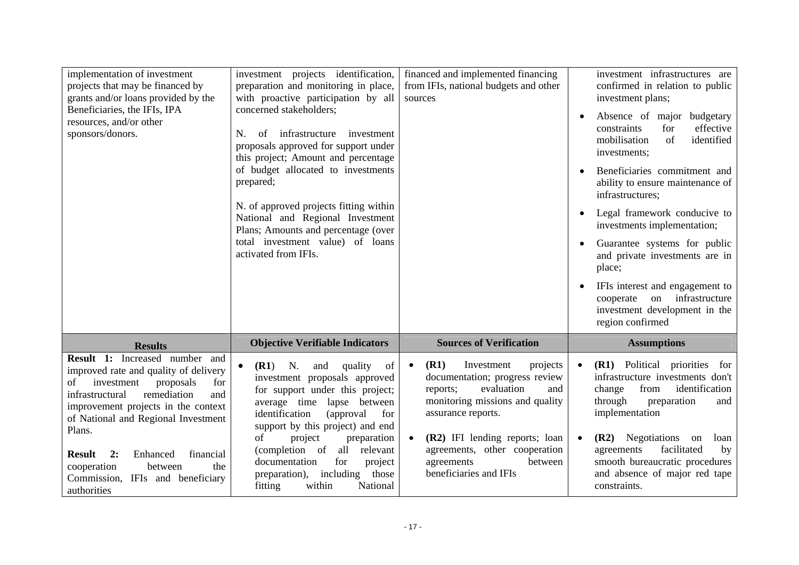| implementation of investment<br>projects that may be financed by<br>grants and/or loans provided by the<br>Beneficiaries, the IFIs, IPA<br>resources, and/or other<br>sponsors/donors.                                                                                                                                                                                               | investment projects identification,<br>preparation and monitoring in place,<br>with proactive participation by all<br>concerned stakeholders;<br>infrastructure<br>investment<br>of<br>N.<br>proposals approved for support under<br>this project; Amount and percentage<br>of budget allocated to investments<br>prepared;<br>N. of approved projects fitting within<br>National and Regional Investment<br>Plans; Amounts and percentage (over<br>total investment value) of loans<br>activated from IFIs. | financed and implemented financing<br>from IFIs, national budgets and other<br>sources                                                                                                                                                                                                                     | investment infrastructures are<br>confirmed in relation to public<br>investment plans;<br>Absence of major budgetary<br>$\bullet$<br>for<br>effective<br>constraints<br>mobilisation<br>of<br>identified<br>investments;<br>Beneficiaries commitment and<br>ability to ensure maintenance of<br>infrastructures;<br>Legal framework conducive to<br>$\bullet$<br>investments implementation;<br>Guarantee systems for public<br>and private investments are in<br>place;<br>IFIs interest and engagement to<br>infrastructure<br>cooperate<br>on<br>investment development in the<br>region confirmed |
|--------------------------------------------------------------------------------------------------------------------------------------------------------------------------------------------------------------------------------------------------------------------------------------------------------------------------------------------------------------------------------------|--------------------------------------------------------------------------------------------------------------------------------------------------------------------------------------------------------------------------------------------------------------------------------------------------------------------------------------------------------------------------------------------------------------------------------------------------------------------------------------------------------------|------------------------------------------------------------------------------------------------------------------------------------------------------------------------------------------------------------------------------------------------------------------------------------------------------------|-------------------------------------------------------------------------------------------------------------------------------------------------------------------------------------------------------------------------------------------------------------------------------------------------------------------------------------------------------------------------------------------------------------------------------------------------------------------------------------------------------------------------------------------------------------------------------------------------------|
| <b>Results</b>                                                                                                                                                                                                                                                                                                                                                                       | <b>Objective Verifiable Indicators</b>                                                                                                                                                                                                                                                                                                                                                                                                                                                                       | <b>Sources of Verification</b>                                                                                                                                                                                                                                                                             | <b>Assumptions</b>                                                                                                                                                                                                                                                                                                                                                                                                                                                                                                                                                                                    |
| Result 1: Increased number and<br>improved rate and quality of delivery<br>investment<br>proposals<br>of<br>for<br>remediation<br>and<br>infrastructural<br>improvement projects in the context<br>of National and Regional Investment<br>Plans.<br><b>Result</b><br>2:<br>Enhanced<br>financial<br>the<br>between<br>cooperation<br>Commission, IFIs and beneficiary<br>authorities | quality<br>(R1)<br>N.<br>of<br>and<br>investment proposals approved<br>for support under this project;<br>average time lapse between<br>identification<br>(approval)<br>for<br>support by this project) and end<br>of<br>preparation<br>project<br>all<br>(completion of<br>relevant<br>for<br>documentation<br>project<br>including<br>those<br>preparation),<br>fitting<br>within<br>National                                                                                                              | (R1)<br>Investment<br>projects<br>$\bullet$<br>documentation; progress review<br>evaluation<br>and<br>reports;<br>monitoring missions and quality<br>assurance reports.<br>(R2) IFI lending reports; loan<br>$\bullet$<br>agreements, other cooperation<br>between<br>agreements<br>beneficiaries and IFIs | (R1) Political priorities<br>for<br>$\bullet$<br>infrastructure investments don't<br>identification<br>change<br>from<br>through<br>preparation<br>and<br>implementation<br>(R2) Negotiations<br>on<br>loan<br>٠<br>facilitated<br>agreements<br>by<br>smooth bureaucratic procedures<br>and absence of major red tape<br>constraints.                                                                                                                                                                                                                                                                |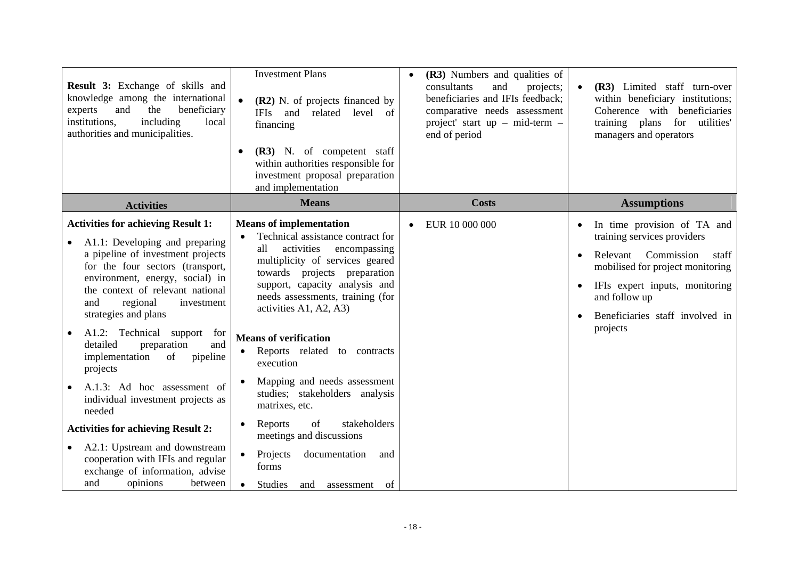| Result 3: Exchange of skills and<br>knowledge among the international<br>beneficiary<br>and<br>the<br>experts<br>including<br>institutions,<br>local<br>authorities and municipalities.                                                                                                                                                                                                                                                                                                                                                                                                                                                                                 | <b>Investment Plans</b><br>(R2) N. of projects financed by<br><b>IFIs</b><br>and<br>related<br>level<br>of<br>financing<br>(R3) N. of competent staff<br>within authorities responsible for<br>investment proposal preparation<br>and implementation                                                                                                                                                                                                                                                                                                                                                                          | (R3) Numbers and qualities of<br>$\bullet$<br>consultants<br>and<br>projects;<br>beneficiaries and IFIs feedback;<br>comparative needs assessment<br>project' start up - mid-term -<br>end of period | (R3) Limited staff turn-over<br>within beneficiary institutions;<br>Coherence with beneficiaries<br>training plans<br>for<br>utilities'<br>managers and operators                                                                                |
|-------------------------------------------------------------------------------------------------------------------------------------------------------------------------------------------------------------------------------------------------------------------------------------------------------------------------------------------------------------------------------------------------------------------------------------------------------------------------------------------------------------------------------------------------------------------------------------------------------------------------------------------------------------------------|-------------------------------------------------------------------------------------------------------------------------------------------------------------------------------------------------------------------------------------------------------------------------------------------------------------------------------------------------------------------------------------------------------------------------------------------------------------------------------------------------------------------------------------------------------------------------------------------------------------------------------|------------------------------------------------------------------------------------------------------------------------------------------------------------------------------------------------------|--------------------------------------------------------------------------------------------------------------------------------------------------------------------------------------------------------------------------------------------------|
| <b>Activities</b>                                                                                                                                                                                                                                                                                                                                                                                                                                                                                                                                                                                                                                                       | <b>Means</b>                                                                                                                                                                                                                                                                                                                                                                                                                                                                                                                                                                                                                  | <b>Costs</b>                                                                                                                                                                                         | <b>Assumptions</b>                                                                                                                                                                                                                               |
| <b>Activities for achieving Result 1:</b><br>A1.1: Developing and preparing<br>a pipeline of investment projects<br>for the four sectors (transport,<br>environment, energy, social) in<br>the context of relevant national<br>and<br>regional<br>investment<br>strategies and plans<br>A1.2: Technical support for<br>detailed<br>preparation<br>and<br>implementation<br>of<br>pipeline<br>projects<br>A.1.3: Ad hoc assessment of<br>individual investment projects as<br>needed<br><b>Activities for achieving Result 2:</b><br>A2.1: Upstream and downstream<br>cooperation with IFIs and regular<br>exchange of information, advise<br>opinions<br>and<br>between | <b>Means of implementation</b><br>Technical assistance contract for<br>activities<br>all<br>encompassing<br>multiplicity of services geared<br>towards projects preparation<br>support, capacity analysis and<br>needs assessments, training (for<br>activities A1, A2, A3)<br><b>Means of verification</b><br>Reports related to contracts<br>$\bullet$<br>execution<br>Mapping and needs assessment<br>studies; stakeholders analysis<br>matrixes, etc.<br>stakeholders<br>of<br>Reports<br>meetings and discussions<br>Projects<br>documentation<br>and<br>forms<br><b>Studies</b><br>of<br>$\bullet$<br>assessment<br>and | EUR 10 000 000                                                                                                                                                                                       | In time provision of TA and<br>training services providers<br>Commission<br>Relevant<br>staff<br>mobilised for project monitoring<br>IFIs expert inputs, monitoring<br>$\bullet$<br>and follow up<br>Beneficiaries staff involved in<br>projects |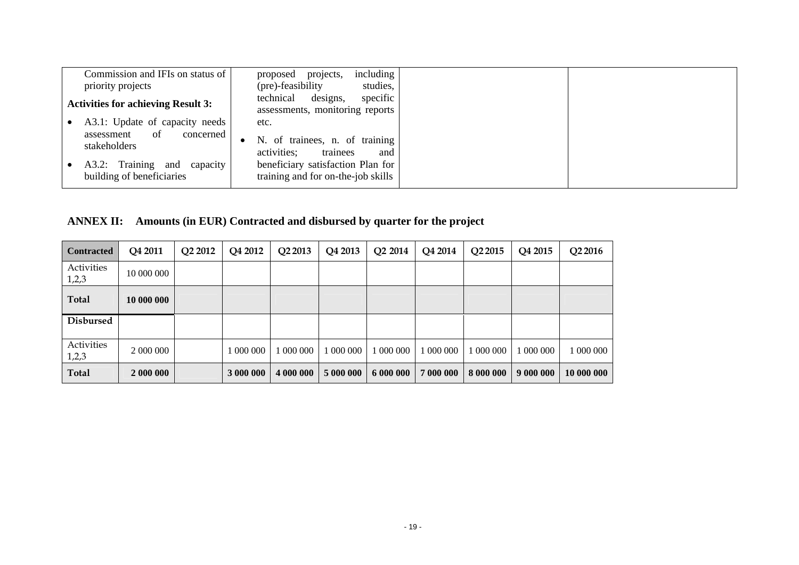| Commission and IFIs on status of<br>priority projects                                                                                           | including<br>projects,<br>proposed<br>(pre)-feasibility<br>studies,                                                                                              |
|-------------------------------------------------------------------------------------------------------------------------------------------------|------------------------------------------------------------------------------------------------------------------------------------------------------------------|
| <b>Activities for achieving Result 3:</b>                                                                                                       | technical<br>designs,<br>specific<br>assessments, monitoring reports                                                                                             |
| A3.1: Update of capacity needs<br>-of<br>concerned<br>assessment<br>stakeholders<br>A3.2: Training and<br>capacity<br>building of beneficiaries | etc.<br>N. of trainees, n. of training<br>$\bullet$<br>activities;<br>trainees<br>and<br>beneficiary satisfaction Plan for<br>training and for on-the-job skills |

|  | ANNEX II: Amounts (in EUR) Contracted and disbursed by quarter for the project |  |
|--|--------------------------------------------------------------------------------|--|
|  |                                                                                |  |

| <b>Contracted</b>   | Q4 2011    | Q <sub>2</sub> 2012 | Q4 2012   | Q2 2013   | Q4 2013   | Q <sub>2</sub> 2014 | Q4 2014   | Q <sub>2</sub> 2015 | Q4 2015   | Q2 2016    |
|---------------------|------------|---------------------|-----------|-----------|-----------|---------------------|-----------|---------------------|-----------|------------|
| Activities<br>1,2,3 | 10 000 000 |                     |           |           |           |                     |           |                     |           |            |
| <b>Total</b>        | 10 000 000 |                     |           |           |           |                     |           |                     |           |            |
| <b>Disbursed</b>    |            |                     |           |           |           |                     |           |                     |           |            |
| Activities<br>1,2,3 | 2 000 000  |                     | 000 000   | 000 000   | 000 000   | 000 000             | 000 000   | 1 000 000           | 000 000   | 000 000    |
| <b>Total</b>        | 2 000 000  |                     | 3 000 000 | 4 000 000 | 5 000 000 | 6 000 000           | 7 000 000 | 8 000 000           | 9 000 000 | 10 000 000 |